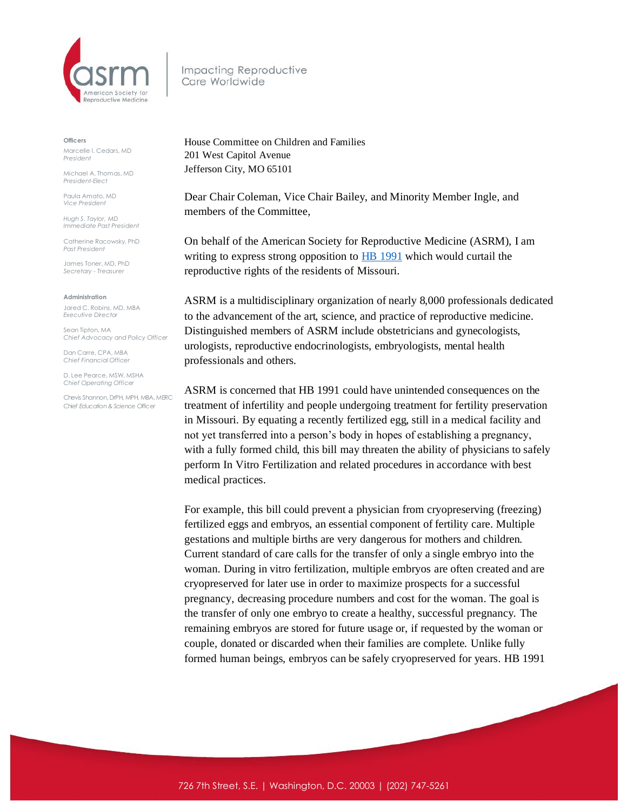

Impacting Reproductive Care Worldwide

**Officers**

Marcelle I. Cedars, MD *President*

Michael A. Thomas, MD *President-Elect*

Paula Amato, MD *Vice President*

*Hugh S. Taylor, MD Immediate Past President*

Catherine Racowsky, PhD *Past President*

James Toner, MD, PhD *Secretary - Treasurer* 

**Administration**

Jared C. Robins, MD, MBA *Executive Director*

Sean Tipton, MA *Chief Advocacy and Policy Officer*

Dan Carre, CPA, MBA *Chief Financial Officer*

D. Lee Pearce, MSW, MSHA *Chief Operating Officer* 

Chevis Shannon, DrPH, MPH, MBA, MERC *Chief Education & Science Officer*

House Committee on Children and Families 201 West Capitol Avenue Jefferson City, MO 65101

Dear Chair Coleman, Vice Chair Bailey, and Minority Member Ingle, and members of the Committee,

On behalf of the American Society for Reproductive Medicine (ASRM), I am writing to express strong opposition to **HB** 1991 which would curtail the reproductive rights of the residents of Missouri.

ASRM is a multidisciplinary organization of nearly 8,000 professionals dedicated to the advancement of the art, science, and practice of reproductive medicine. Distinguished members of ASRM include obstetricians and gynecologists, urologists, reproductive endocrinologists, embryologists, mental health professionals and others.

ASRM is concerned that HB 1991 could have unintended consequences on the treatment of infertility and people undergoing treatment for fertility preservation in Missouri. By equating a recently fertilized egg, still in a medical facility and not yet transferred into a person's body in hopes of establishing a pregnancy, with a fully formed child, this bill may threaten the ability of physicians to safely perform In Vitro Fertilization and related procedures in accordance with best medical practices.

For example, this bill could prevent a physician from cryopreserving (freezing) fertilized eggs and embryos, an essential component of fertility care. Multiple gestations and multiple births are very dangerous for mothers and children. Current standard of care calls for the transfer of only a single embryo into the woman. During in vitro fertilization, multiple embryos are often created and are cryopreserved for later use in order to maximize prospects for a successful pregnancy, decreasing procedure numbers and cost for the woman. The goal is the transfer of only one embryo to create a healthy, successful pregnancy. The remaining embryos are stored for future usage or, if requested by the woman or couple, donated or discarded when their families are complete. Unlike fully formed human beings, embryos can be safely cryopreserved for years. HB 1991